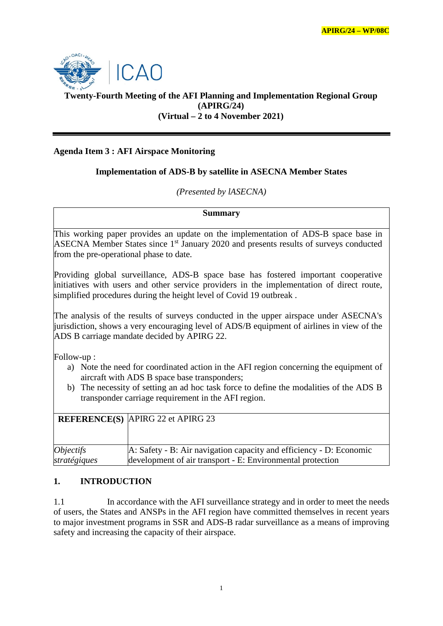

## **Twenty-Fourth Meeting of the AFI Planning and Implementation Regional Group (APIRG/24) (Virtual – 2 to 4 November 2021)**

## **Agenda Item 3 : AFI Airspace Monitoring**

## **Implementation of ADS-B by satellite in ASECNA Member States**

#### *(Presented by lASECNA)*

**Summary** 

This working paper provides an update on the implementation of ADS-B space base in ASECNA Member States since 1<sup>st</sup> January 2020 and presents results of surveys conducted from the pre-operational phase to date.

Providing global surveillance, ADS-B space base has fostered important cooperative initiatives with users and other service providers in the implementation of direct route, simplified procedures during the height level of Covid 19 outbreak .

The analysis of the results of surveys conducted in the upper airspace under ASECNA's jurisdiction, shows a very encouraging level of ADS/B equipment of airlines in view of the ADS B carriage mandate decided by APIRG 22.

Follow-up :

- a) Note the need for coordinated action in the AFI region concerning the equipment of aircraft with ADS B space base transponders;
- b) The necessity of setting an ad hoc task force to define the modalities of the ADS B transponder carriage requirement in the AFI region.

|              | <b>REFERENCE(S)</b> APIRG 22 et APIRG 23                            |
|--------------|---------------------------------------------------------------------|
|              |                                                                     |
| Objectifs    | A: Safety - B: Air navigation capacity and efficiency - D: Economic |
| stratégiques | development of air transport - E: Environmental protection          |

## **1. INTRODUCTION**

1.1 In accordance with the AFI surveillance strategy and in order to meet the needs of users, the States and ANSPs in the AFI region have committed themselves in recent years to major investment programs in SSR and ADS-B radar surveillance as a means of improving safety and increasing the capacity of their airspace.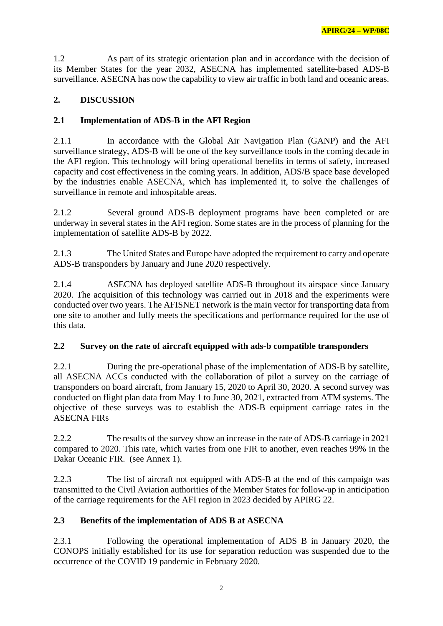1.2 As part of its strategic orientation plan and in accordance with the decision of its Member States for the year 2032, ASECNA has implemented satellite-based ADS-B surveillance. ASECNA has now the capability to view air traffic in both land and oceanic areas.

## **2. DISCUSSION**

## **2.1 Implementation of ADS-B in the AFI Region**

2.1.1 In accordance with the Global Air Navigation Plan (GANP) and the AFI surveillance strategy, ADS-B will be one of the key surveillance tools in the coming decade in the AFI region. This technology will bring operational benefits in terms of safety, increased capacity and cost effectiveness in the coming years. In addition, ADS/B space base developed by the industries enable ASECNA, which has implemented it, to solve the challenges of surveillance in remote and inhospitable areas.

2.1.2 Several ground ADS-B deployment programs have been completed or are underway in several states in the AFI region. Some states are in the process of planning for the implementation of satellite ADS-B by 2022.

2.1.3 The United States and Europe have adopted the requirement to carry and operate ADS-B transponders by January and June 2020 respectively.

2.1.4 ASECNA has deployed satellite ADS-B throughout its airspace since January 2020. The acquisition of this technology was carried out in 2018 and the experiments were conducted over two years. The AFISNET network is the main vector for transporting data from one site to another and fully meets the specifications and performance required for the use of this data.

## **2.2 Survey on the rate of aircraft equipped with ads-b compatible transponders**

2.2.1 During the pre-operational phase of the implementation of ADS-B by satellite, all ASECNA ACCs conducted with the collaboration of pilot a survey on the carriage of transponders on board aircraft, from January 15, 2020 to April 30, 2020. A second survey was conducted on flight plan data from May 1 to June 30, 2021, extracted from ATM systems. The objective of these surveys was to establish the ADS-B equipment carriage rates in the ASECNA FIRs

2.2.2 The results of the survey show an increase in the rate of ADS-B carriage in 2021 compared to 2020. This rate, which varies from one FIR to another, even reaches 99% in the Dakar Oceanic FIR. (see Annex 1).

2.2.3 The list of aircraft not equipped with ADS-B at the end of this campaign was transmitted to the Civil Aviation authorities of the Member States for follow-up in anticipation of the carriage requirements for the AFI region in 2023 decided by APIRG 22.

## **2.3 Benefits of the implementation of ADS B at ASECNA**

2.3.1 Following the operational implementation of ADS B in January 2020, the CONOPS initially established for its use for separation reduction was suspended due to the occurrence of the COVID 19 pandemic in February 2020.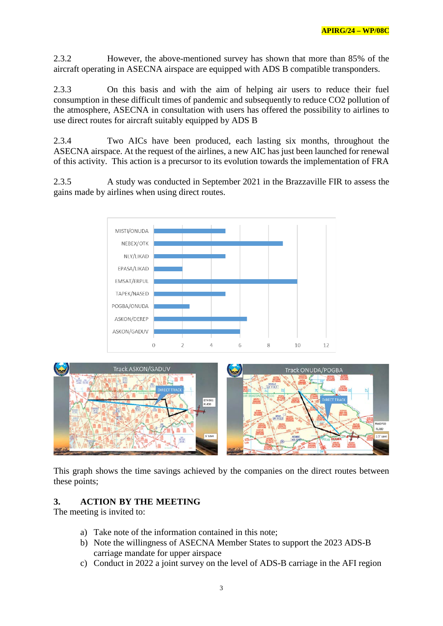2.3.2 However, the above-mentioned survey has shown that more than 85% of the aircraft operating in ASECNA airspace are equipped with ADS B compatible transponders.

2.3.3 On this basis and with the aim of helping air users to reduce their fuel consumption in these difficult times of pandemic and subsequently to reduce CO2 pollution of the atmosphere, ASECNA in consultation with users has offered the possibility to airlines to use direct routes for aircraft suitably equipped by ADS B

2.3.4 Two AICs have been produced, each lasting six months, throughout the ASECNA airspace. At the request of the airlines, a new AIC has just been launched for renewal of this activity. This action is a precursor to its evolution towards the implementation of FRA

2.3.5 A study was conducted in September 2021 in the Brazzaville FIR to assess the gains made by airlines when using direct routes.





This graph shows the time savings achieved by the companies on the direct routes between these points;

## **3. ACTION BY THE MEETING**

The meeting is invited to:

- a) Take note of the information contained in this note;
- b) Note the willingness of ASECNA Member States to support the 2023 ADS-B carriage mandate for upper airspace
- c) Conduct in 2022 a joint survey on the level of ADS-B carriage in the AFI region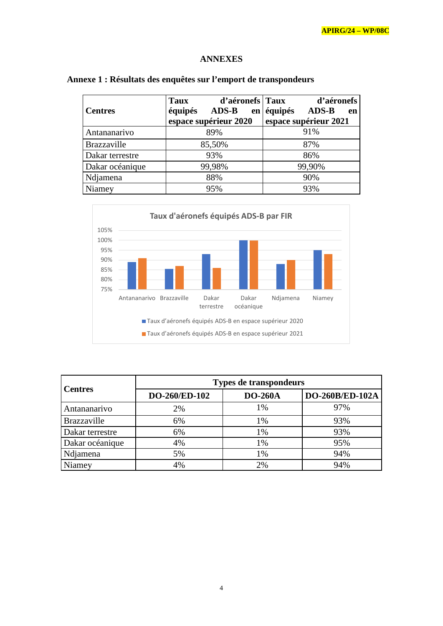#### **ANNEXES**

| <b>Centres</b>     | d'aéronefs Taux<br>Taux<br>équipés<br><b>ADS-B</b><br>en<br>espace supérieur 2020 | d'aéronefs<br>équipés<br><b>ADS-B</b><br>en<br>espace supérieur 2021 |  |
|--------------------|-----------------------------------------------------------------------------------|----------------------------------------------------------------------|--|
| Antananarivo       | 89%                                                                               | 91%                                                                  |  |
| <b>Brazzaville</b> | 85,50%                                                                            | 87%                                                                  |  |
| Dakar terrestre    | 93%                                                                               | 86%                                                                  |  |
| Dakar océanique    | 99,98%                                                                            | 99,90%                                                               |  |
| Ndjamena           | 88%                                                                               | 90%                                                                  |  |
| Niamey             | 95%                                                                               | 93%                                                                  |  |

# **Annexe 1 : Résultats des enquêtes sur l'emport de transpondeurs**



| <b>Centres</b>  | <b>Types de transpondeurs</b> |                |                 |  |
|-----------------|-------------------------------|----------------|-----------------|--|
|                 | DO-260/ED-102                 | <b>DO-260A</b> | DO-260B/ED-102A |  |
| Antananarivo    | 2%                            | 1%             | 97%             |  |
| Brazzaville     | 6%                            | 1%             | 93%             |  |
| Dakar terrestre | 6%                            | 1%             | 93%             |  |
| Dakar océanique | 4%                            | 1%             | 95%             |  |
| Ndjamena        | 5%                            | 1%             | 94%             |  |
| Niamey          | 4%                            | 2%             | 94%             |  |